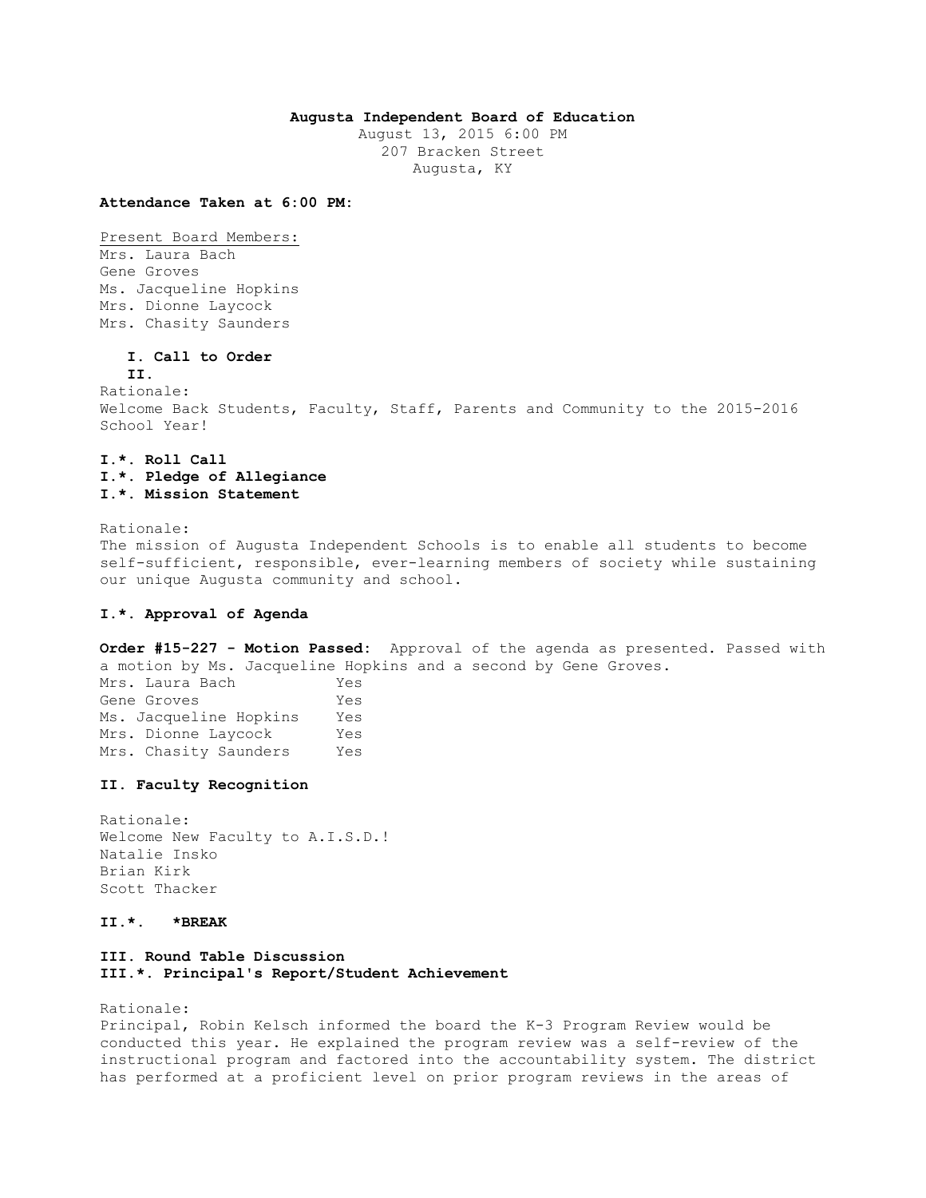## **Augusta Independent Board of Education**

August 13, 2015 6:00 PM 207 Bracken Street Augusta, KY

**Attendance Taken at 6:00 PM:**

Present Board Members: Mrs. Laura Bach Gene Groves Ms. Jacqueline Hopkins Mrs. Dionne Laycock Mrs. Chasity Saunders

# **I. Call to Order**

**II.**

Rationale: Welcome Back Students, Faculty, Staff, Parents and Community to the 2015-2016 School Year!

# **I.\*. Roll Call I.\*. Pledge of Allegiance I.\*. Mission Statement**

Rationale: The mission of Augusta Independent Schools is to enable all students to become self-sufficient, responsible, ever-learning members of society while sustaining

#### **I.\*. Approval of Agenda**

**Order #15-227 - Motion Passed:** Approval of the agenda as presented. Passed with a motion by Ms. Jacqueline Hopkins and a second by Gene Groves. Mrs. Laura Bach Yes

Gene Groves Yes Ms. Jacqueline Hopkins Yes Mrs. Dionne Laycock Yes Mrs. Chasity Saunders Yes

our unique Augusta community and school.

## **II. Faculty Recognition**

Rationale: Welcome New Faculty to A.I.S.D.! Natalie Insko Brian Kirk Scott Thacker

## **II.\*. \*BREAK**

# **III. Round Table Discussion III.\*. Principal's Report/Student Achievement**

Rationale:

Principal, Robin Kelsch informed the board the K-3 Program Review would be conducted this year. He explained the program review was a self-review of the instructional program and factored into the accountability system. The district has performed at a proficient level on prior program reviews in the areas of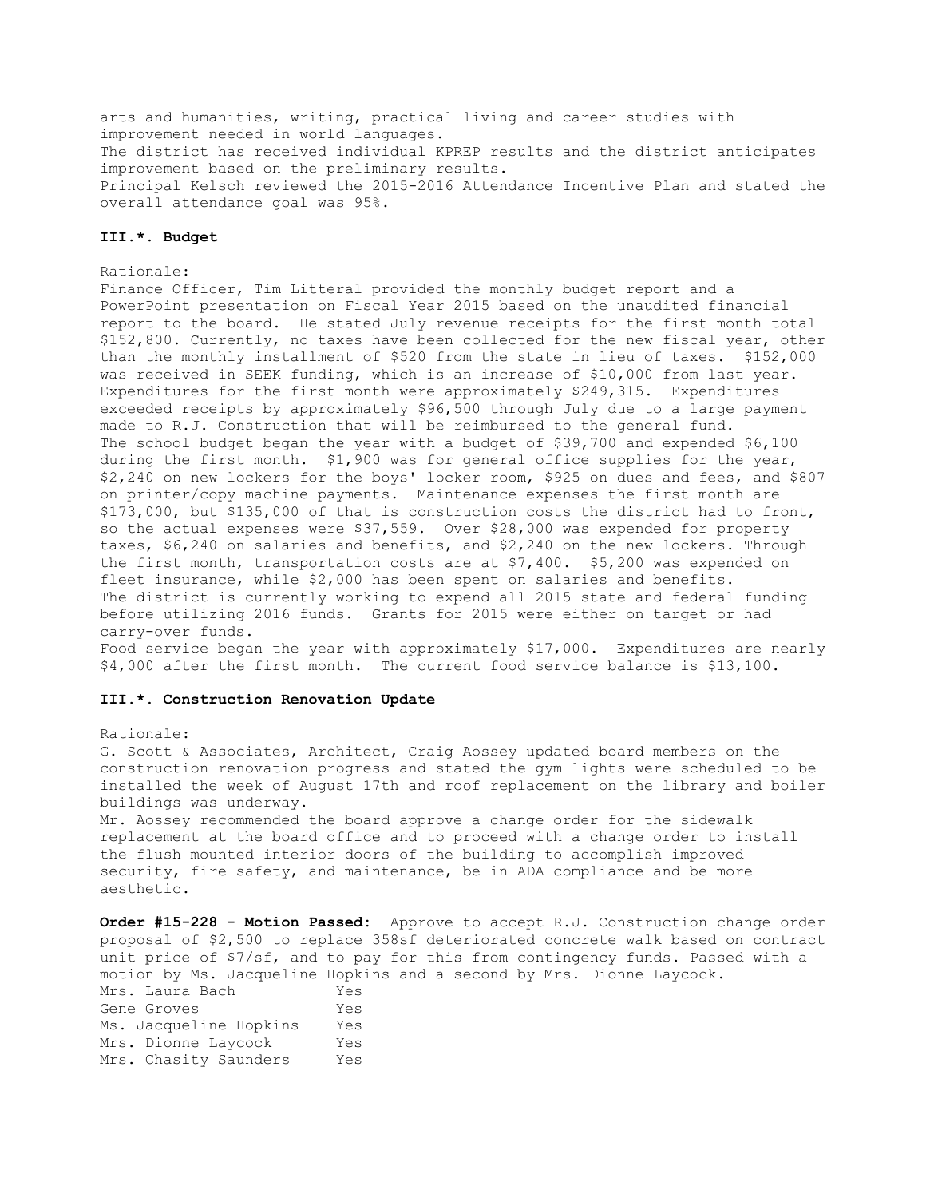arts and humanities, writing, practical living and career studies with improvement needed in world languages. The district has received individual KPREP results and the district anticipates improvement based on the preliminary results. Principal Kelsch reviewed the 2015-2016 Attendance Incentive Plan and stated the overall attendance goal was 95%.

## **III.\*. Budget**

### Rationale:

Finance Officer, Tim Litteral provided the monthly budget report and a PowerPoint presentation on Fiscal Year 2015 based on the unaudited financial report to the board. He stated July revenue receipts for the first month total \$152,800. Currently, no taxes have been collected for the new fiscal year, other than the monthly installment of \$520 from the state in lieu of taxes. \$152,000 was received in SEEK funding, which is an increase of \$10,000 from last year. Expenditures for the first month were approximately \$249,315. Expenditures exceeded receipts by approximately \$96,500 through July due to a large payment made to R.J. Construction that will be reimbursed to the general fund. The school budget began the year with a budget of \$39,700 and expended \$6,100 during the first month. \$1,900 was for general office supplies for the year, \$2,240 on new lockers for the boys' locker room, \$925 on dues and fees, and \$807 on printer/copy machine payments. Maintenance expenses the first month are \$173,000, but \$135,000 of that is construction costs the district had to front, so the actual expenses were \$37,559. Over \$28,000 was expended for property taxes, \$6,240 on salaries and benefits, and \$2,240 on the new lockers. Through the first month, transportation costs are at \$7,400. \$5,200 was expended on fleet insurance, while \$2,000 has been spent on salaries and benefits. The district is currently working to expend all 2015 state and federal funding before utilizing 2016 funds. Grants for 2015 were either on target or had carry-over funds.

Food service began the year with approximately \$17,000. Expenditures are nearly \$4,000 after the first month. The current food service balance is \$13,100.

### **III.\*. Construction Renovation Update**

#### Rationale:

G. Scott & Associates, Architect, Craig Aossey updated board members on the construction renovation progress and stated the gym lights were scheduled to be installed the week of August 17th and roof replacement on the library and boiler buildings was underway.

Mr. Aossey recommended the board approve a change order for the sidewalk replacement at the board office and to proceed with a change order to install the flush mounted interior doors of the building to accomplish improved security, fire safety, and maintenance, be in ADA compliance and be more aesthetic.

**Order #15-228 - Motion Passed:** Approve to accept R.J. Construction change order proposal of \$2,500 to replace 358sf deteriorated concrete walk based on contract unit price of \$7/sf, and to pay for this from contingency funds. Passed with a motion by Ms. Jacqueline Hopkins and a second by Mrs. Dionne Laycock. Mrs. Laura Bach Yes Gene Groves Yes Ms. Jacqueline Hopkins Yes Mrs. Dionne Laycock Yes Mrs. Chasity Saunders Yes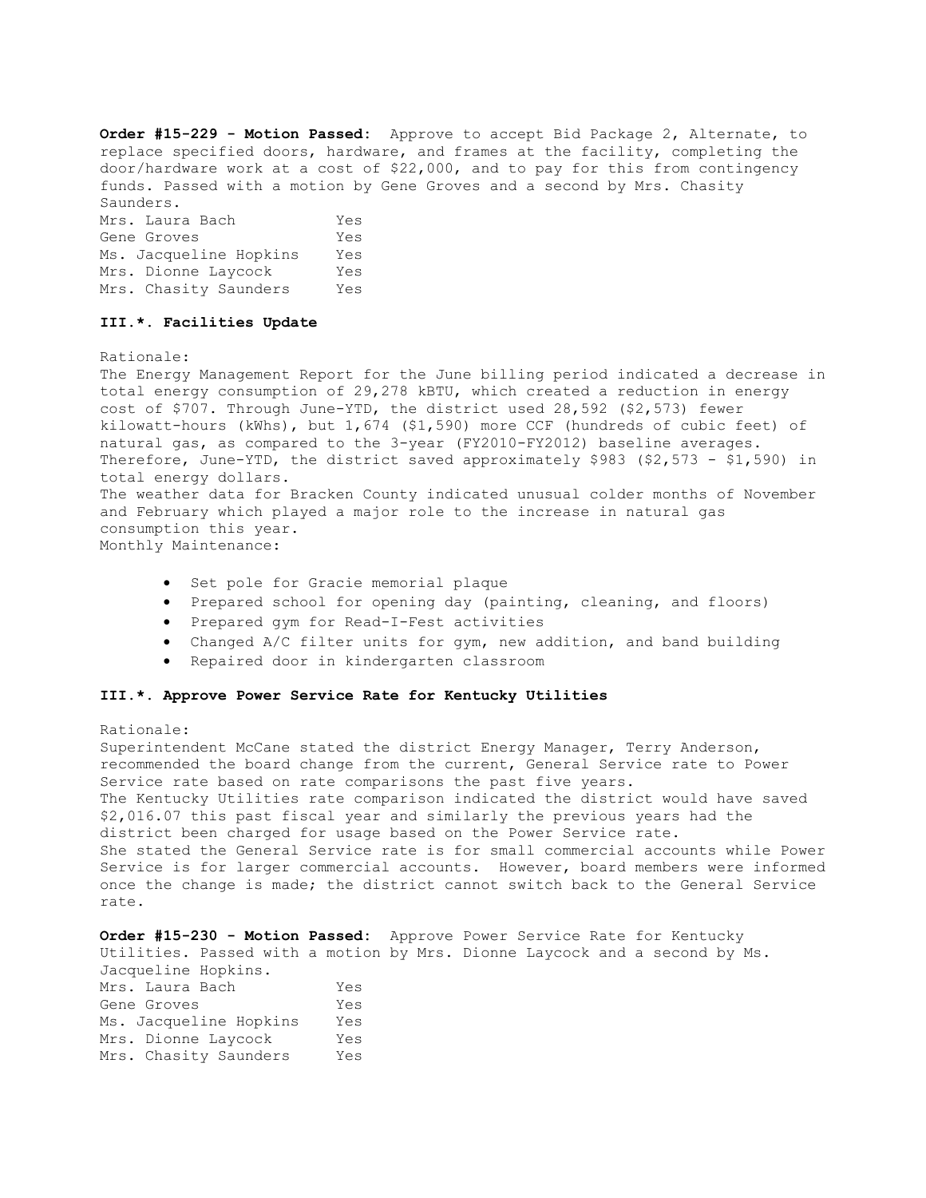**Order #15-229 - Motion Passed:** Approve to accept Bid Package 2, Alternate, to replace specified doors, hardware, and frames at the facility, completing the door/hardware work at a cost of \$22,000, and to pay for this from contingency funds. Passed with a motion by Gene Groves and a second by Mrs. Chasity Saunders.

| Mrs. Laura Bach        | Yes |
|------------------------|-----|
| Gene Groves            | Yes |
| Ms. Jacqueline Hopkins | Yes |
| Mrs. Dionne Laycock    | Yes |
| Mrs. Chasity Saunders  | Yes |

## **III.\*. Facilities Update**

Rationale:

The Energy Management Report for the June billing period indicated a decrease in total energy consumption of 29,278 kBTU, which created a reduction in energy cost of \$707. Through June-YTD, the district used 28,592 (\$2,573) fewer kilowatt-hours (kWhs), but 1,674 (\$1,590) more CCF (hundreds of cubic feet) of natural gas, as compared to the 3-year (FY2010-FY2012) baseline averages. Therefore, June-YTD, the district saved approximately \$983 (\$2,573 - \$1,590) in total energy dollars. The weather data for Bracken County indicated unusual colder months of November and February which played a major role to the increase in natural gas consumption this year. Monthly Maintenance:

- Set pole for Gracie memorial plaque
- Prepared school for opening day (painting, cleaning, and floors)
- Prepared gym for Read-I-Fest activities
- Changed A/C filter units for gym, new addition, and band building
- Repaired door in kindergarten classroom

## **III.\*. Approve Power Service Rate for Kentucky Utilities**

#### Rationale:

Superintendent McCane stated the district Energy Manager, Terry Anderson, recommended the board change from the current, General Service rate to Power Service rate based on rate comparisons the past five years. The Kentucky Utilities rate comparison indicated the district would have saved \$2,016.07 this past fiscal year and similarly the previous years had the district been charged for usage based on the Power Service rate. She stated the General Service rate is for small commercial accounts while Power Service is for larger commercial accounts. However, board members were informed once the change is made; the district cannot switch back to the General Service rate.

|                        |     | <b>Order #15-230 - Motion Passed:</b> Approve Power Service Rate for Kentucky |
|------------------------|-----|-------------------------------------------------------------------------------|
|                        |     | Utilities. Passed with a motion by Mrs. Dionne Laycock and a second by Ms.    |
| Jacqueline Hopkins.    |     |                                                                               |
| Mrs. Laura Bach        | Yes |                                                                               |
| Gene Groves            | Yes |                                                                               |
| Ms. Jacqueline Hopkins | Yes |                                                                               |
| Mrs. Dionne Lavcock    | Yes |                                                                               |
| Mrs. Chasity Saunders  | Yes |                                                                               |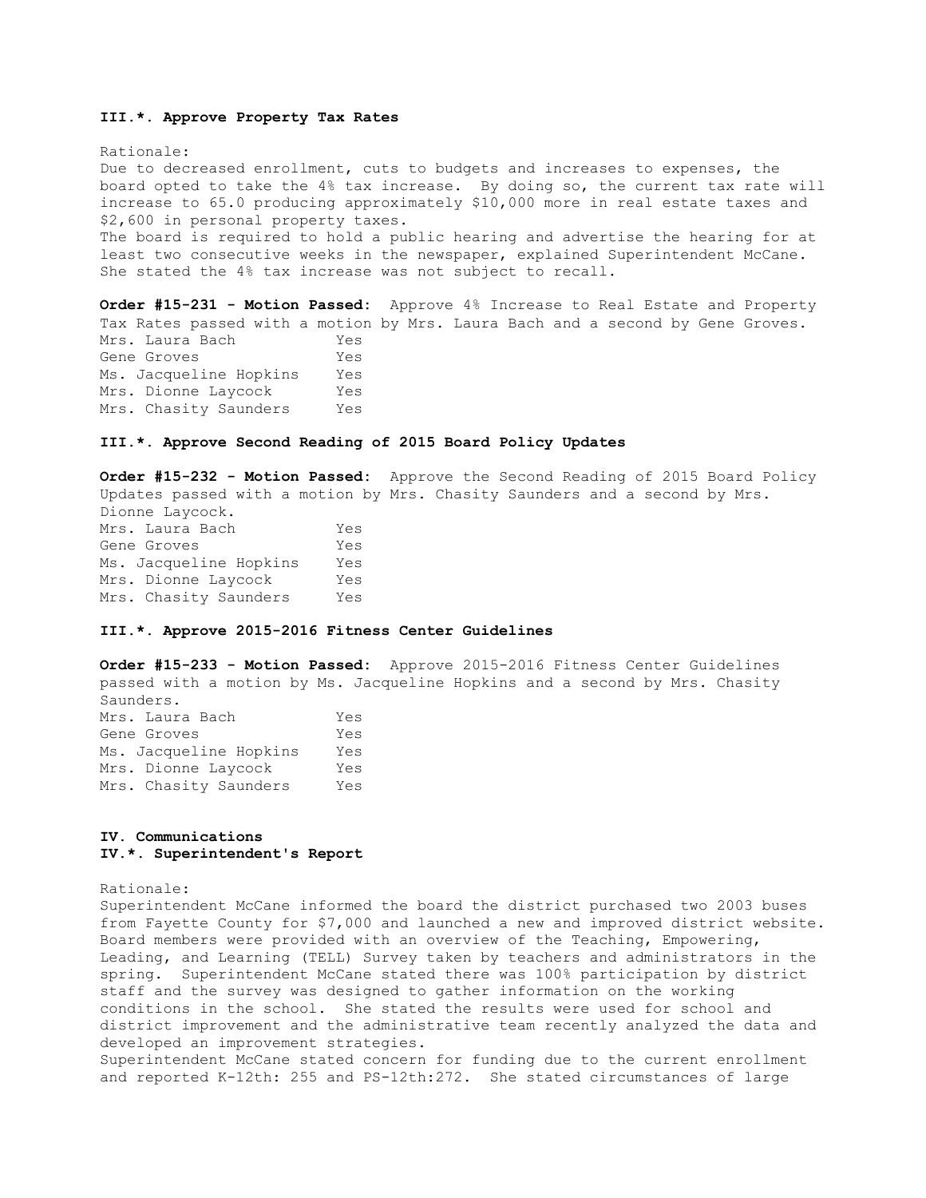## **III.\*. Approve Property Tax Rates**

Rationale: Due to decreased enrollment, cuts to budgets and increases to expenses, the board opted to take the 4% tax increase. By doing so, the current tax rate will increase to 65.0 producing approximately \$10,000 more in real estate taxes and \$2,600 in personal property taxes. The board is required to hold a public hearing and advertise the hearing for at least two consecutive weeks in the newspaper, explained Superintendent McCane. She stated the 4% tax increase was not subject to recall.

**Order #15-231 - Motion Passed:** Approve 4% Increase to Real Estate and Property Tax Rates passed with a motion by Mrs. Laura Bach and a second by Gene Groves. Mrs. Laura Bach Yes Gene Groves Yes Ms. Jacqueline Hopkins Yes Mrs. Dionne Laycock Yes Mrs. Chasity Saunders Yes

#### **III.\*. Approve Second Reading of 2015 Board Policy Updates**

**Order #15-232 - Motion Passed:** Approve the Second Reading of 2015 Board Policy Updates passed with a motion by Mrs. Chasity Saunders and a second by Mrs. Dionne Laycock. Mrs. Laura Bach Yes Gene Groves Yes

Ms. Jacqueline Hopkins Yes Mrs. Dionne Laycock Yes Mrs. Chasity Saunders Yes

#### **III.\*. Approve 2015-2016 Fitness Center Guidelines**

**Order #15-233 - Motion Passed:** Approve 2015-2016 Fitness Center Guidelines passed with a motion by Ms. Jacqueline Hopkins and a second by Mrs. Chasity Saunders. Mrs. Laura Bach Yes

| Yes |
|-----|
| Yes |
| Yes |
| Yes |
|     |

## **IV. Communications IV.\*. Superintendent's Report**

Rationale:

Superintendent McCane informed the board the district purchased two 2003 buses from Fayette County for \$7,000 and launched a new and improved district website. Board members were provided with an overview of the Teaching, Empowering, Leading, and Learning (TELL) Survey taken by teachers and administrators in the spring. Superintendent McCane stated there was 100% participation by district staff and the survey was designed to gather information on the working conditions in the school. She stated the results were used for school and district improvement and the administrative team recently analyzed the data and developed an improvement strategies. Superintendent McCane stated concern for funding due to the current enrollment

and reported K-12th: 255 and PS-12th:272. She stated circumstances of large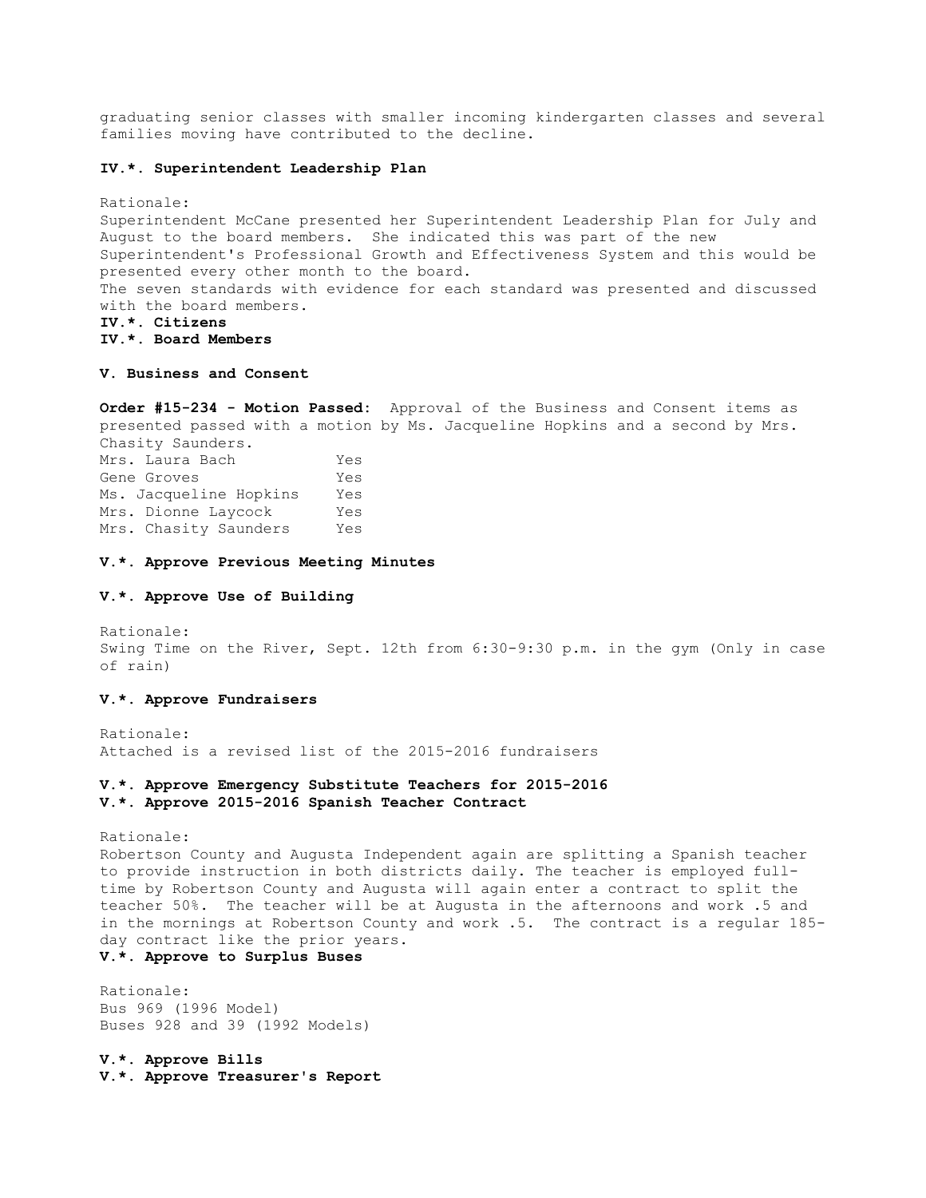graduating senior classes with smaller incoming kindergarten classes and several families moving have contributed to the decline.

## **IV.\*. Superintendent Leadership Plan**

Rationale: Superintendent McCane presented her Superintendent Leadership Plan for July and August to the board members. She indicated this was part of the new Superintendent's Professional Growth and Effectiveness System and this would be presented every other month to the board. The seven standards with evidence for each standard was presented and discussed with the board members. **IV.\*. Citizens IV.\*. Board Members** 

### **V. Business and Consent**

**Order #15-234 - Motion Passed:** Approval of the Business and Consent items as presented passed with a motion by Ms. Jacqueline Hopkins and a second by Mrs. Chasity Saunders.

Mrs. Laura Bach Yes Gene Groves Tes Ms. Jacqueline Hopkins Yes Mrs. Dionne Laycock Yes Mrs. Chasity Saunders Yes

#### **V.\*. Approve Previous Meeting Minutes**

## **V.\*. Approve Use of Building**

Rationale: Swing Time on the River, Sept. 12th from 6:30-9:30 p.m. in the gym (Only in case of rain)

#### **V.\*. Approve Fundraisers**

Rationale: Attached is a revised list of the 2015-2016 fundraisers

#### **V.\*. Approve Emergency Substitute Teachers for 2015-2016 V.\*. Approve 2015-2016 Spanish Teacher Contract**

Rationale:

Robertson County and Augusta Independent again are splitting a Spanish teacher to provide instruction in both districts daily. The teacher is employed fulltime by Robertson County and Augusta will again enter a contract to split the teacher 50%. The teacher will be at Augusta in the afternoons and work .5 and in the mornings at Robertson County and work .5. The contract is a regular 185 day contract like the prior years.

# **V.\*. Approve to Surplus Buses**

Rationale: Bus 969 (1996 Model) Buses 928 and 39 (1992 Models)

**V.\*. Approve Bills V.\*. Approve Treasurer's Report**